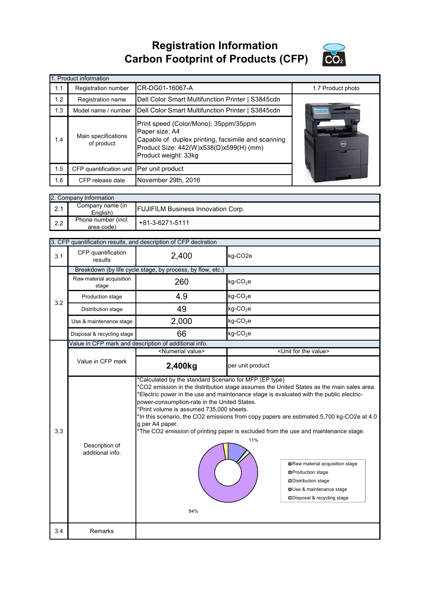**Registration Information Carbon Footprint of Products (CFP)**



|     | Product information               |                                                                                                                                                                                  |                            |
|-----|-----------------------------------|----------------------------------------------------------------------------------------------------------------------------------------------------------------------------------|----------------------------|
| 1.1 | Registration number               | CR-DG01-16067-A                                                                                                                                                                  | 1.7 Product photo          |
| 1.2 | Registration name                 | Dell Color Smart Multifunction Printer   S3845cdn                                                                                                                                |                            |
| 1.3 | Model name / number               | Dell Color Smart Multifunction Printer   S3845cdn                                                                                                                                |                            |
| 1.4 | Main specifications<br>of product | Print speed (Color/Mono): 35ppm/35ppm<br>Paper size: A4<br>Capable of duplex printing, facsimile and scanning<br>Product Size: 442(W)x538(D)x599(H) (mm)<br>Product weight: 33kg | $\left(\frac{1}{2}\right)$ |
| 1.5 | CFP quantification unit           | Per unit product                                                                                                                                                                 |                            |
| 1.6 | CFP release date                  | November 29th, 2016                                                                                                                                                              |                            |

|     | 2. Company Information            |                                           |  |  |  |
|-----|-----------------------------------|-------------------------------------------|--|--|--|
| 2.1 | Company name (in<br>English)      | <b>FUJIFILM Business Innovation Corp.</b> |  |  |  |
| 2.2 | Phone number (incl.<br>area code) | +81-3-6271-5111                           |  |  |  |

|     |                                    | 3. CFP quantification results, and description of CFP declration                                                                                                             |                                                                                                                                                                                                                                                                                                                                                                                                                                                                                                                                                |
|-----|------------------------------------|------------------------------------------------------------------------------------------------------------------------------------------------------------------------------|------------------------------------------------------------------------------------------------------------------------------------------------------------------------------------------------------------------------------------------------------------------------------------------------------------------------------------------------------------------------------------------------------------------------------------------------------------------------------------------------------------------------------------------------|
| 3.1 | CFP quantification<br>results      | 2,400                                                                                                                                                                        | kg-CO <sub>2e</sub>                                                                                                                                                                                                                                                                                                                                                                                                                                                                                                                            |
|     |                                    | Breakdown (by life cycle stage, by process, by flow, etc.)                                                                                                                   |                                                                                                                                                                                                                                                                                                                                                                                                                                                                                                                                                |
|     | Raw material acquisition<br>stage  | 260                                                                                                                                                                          | $kg$ -CO <sub>2</sub> e                                                                                                                                                                                                                                                                                                                                                                                                                                                                                                                        |
| 3.2 | Production stage                   | 4.9                                                                                                                                                                          | $kg$ -CO <sub>2</sub> e                                                                                                                                                                                                                                                                                                                                                                                                                                                                                                                        |
|     | Distribution stage                 | 49                                                                                                                                                                           | $kg$ -CO <sub>2</sub> e                                                                                                                                                                                                                                                                                                                                                                                                                                                                                                                        |
|     | Use & maintenance stage            | 2,000                                                                                                                                                                        | $kg$ -CO <sub>2</sub> e                                                                                                                                                                                                                                                                                                                                                                                                                                                                                                                        |
|     | Disposal & recycling stage         | 66                                                                                                                                                                           | $kg$ -CO <sub>2</sub> e                                                                                                                                                                                                                                                                                                                                                                                                                                                                                                                        |
|     |                                    | Value in CFP mark and description of additional info.                                                                                                                        |                                                                                                                                                                                                                                                                                                                                                                                                                                                                                                                                                |
|     |                                    | <numerial value=""></numerial>                                                                                                                                               | <unit for="" the="" value=""></unit>                                                                                                                                                                                                                                                                                                                                                                                                                                                                                                           |
|     | Value in CFP mark                  | 2,400kg                                                                                                                                                                      | per unit product                                                                                                                                                                                                                                                                                                                                                                                                                                                                                                                               |
| 3.3 | Description of<br>additional info. | *Calculated by the standard Scenario for MFP (EP type)<br>power-consumption-rate in the United States.<br>*Print volume is assumed 735,000 sheets.<br>g per A4 paper.<br>84% | *CO2 emission in the distribution stage assumes the United States as the main sales area.<br>*Electric power in the use and maintenance stage is evaluated with the public electric-<br>*In this scenario, the CO2 emissions from copy papers are estimated 5,700 kg-CO2e at 4.0<br>*The CO2 emission of printing paper is excluded from the use and maintenance stage.<br>11%<br>Raw material acquisition stage<br><b>□</b> Production stage<br><b>□</b> Distribution stage<br>Use & maintenance stage<br><b>□</b> Disposal & recycling stage |
| 3.4 | Remarks                            |                                                                                                                                                                              |                                                                                                                                                                                                                                                                                                                                                                                                                                                                                                                                                |